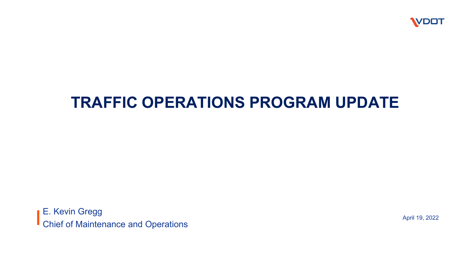

### **TRAFFIC OPERATIONS PROGRAM UPDATE**

**E. Kevin Gregg** Chief of Maintenance and Operations April 19, 2022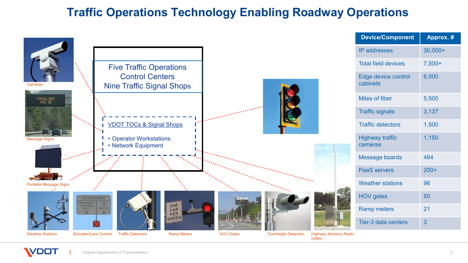#### **Traffic Operations Technology Enabling Roadway Operations**

|                                                                                                                                                                                                        | <b>Device/Component</b>           | Approx. #    |
|--------------------------------------------------------------------------------------------------------------------------------------------------------------------------------------------------------|-----------------------------------|--------------|
|                                                                                                                                                                                                        | <b>IP</b> addresses               | $30,000+$    |
| <b>Five Traffic Operations</b>                                                                                                                                                                         | <b>Total field devices</b>        | $7,500+$     |
| <b>Control Centers</b><br><b>Nine Traffic Signal Shops</b><br>Cameras                                                                                                                                  | Edge device control<br>cabinets   | 6,000        |
| TRAVEL INFO<br>DIAL 51                                                                                                                                                                                 | <b>Miles of fiber</b>             | 5,500        |
| security of the contract of the                                                                                                                                                                        | <b>Traffic signals</b>            | 3,137        |
| <b>VDOT TOCs &amp; Signal Shops</b>                                                                                                                                                                    | <b>Traffic detectors</b>          | 1,500        |
| • Operator Workstations<br><b>Message Signs</b><br>• Network Equipment                                                                                                                                 | <b>Highway traffic</b><br>cameras | 1,150        |
|                                                                                                                                                                                                        | Message boards                    | 464          |
|                                                                                                                                                                                                        | <b>PaaS</b> servers               | $200+$       |
| <b>Portable Message Signs</b>                                                                                                                                                                          | <b>Weather stations</b>           | 96           |
| SHOULDER<br><b>IMERGENCY</b><br><b>DPEN</b>                                                                                                                                                            | <b>HOV</b> gates                  | 50           |
| ONE<br>30<br><b>STOPPING</b><br><b><i><u>TRAFFIC</u></i></b><br><b>ONLY</b><br>CAR<br>PER                                                                                                              | <b>Ramp meters</b>                | 21           |
| GREEN                                                                                                                                                                                                  | Tier-3 data centers               | $\mathbf{3}$ |
| <b>Shoulder/Lane Control</b><br><b>Traffic Detectors</b><br><b>HOV Gates</b><br><b>Weather Stations</b><br><b>Ramp Meters</b><br><b>Overheight Detection</b><br><b>Highway Advisory Radio</b><br>(HAR) |                                   |              |

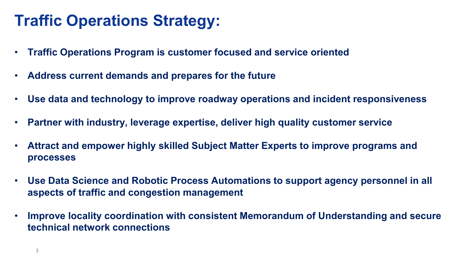### **Traffic Operations Strategy:**

- **Traffic Operations Program is customer focused and service oriented**
- **Address current demands and prepares for the future**
- **Use data and technology to improve roadway operations and incident responsiveness**
- **Partner with industry, leverage expertise, deliver high quality customer service**
- **Attract and empower highly skilled Subject Matter Experts to improve programs and processes**
- **Use Data Science and Robotic Process Automations to support agency personnel in all aspects of traffic and congestion management**
- **Improve locality coordination with consistent Memorandum of Understanding and secure technical network connections**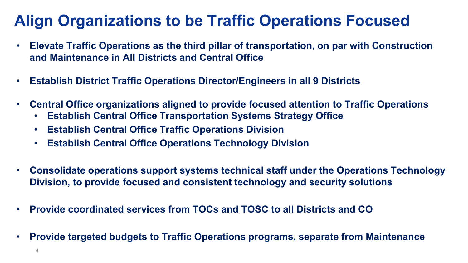## **Align Organizations to be Traffic Operations Focused**

- **Elevate Traffic Operations as the third pillar of transportation, on par with Construction and Maintenance in All Districts and Central Office**
- **Establish District Traffic Operations Director/Engineers in all 9 Districts**
- **Central Office organizations aligned to provide focused attention to Traffic Operations**
	- **Establish Central Office Transportation Systems Strategy Office**
	- **Establish Central Office Traffic Operations Division**
	- **Establish Central Office Operations Technology Division**
- **Consolidate operations support systems technical staff under the Operations Technology Division, to provide focused and consistent technology and security solutions**
- **Provide coordinated services from TOCs and TOSC to all Districts and CO**
- **Provide targeted budgets to Traffic Operations programs, separate from Maintenance**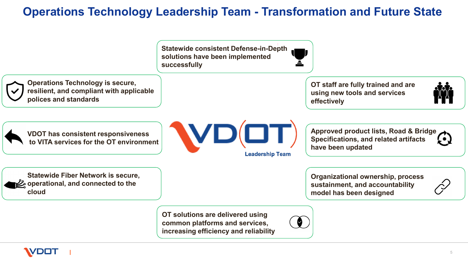#### **Operations Technology Leadership Team - Transformation and Future State**

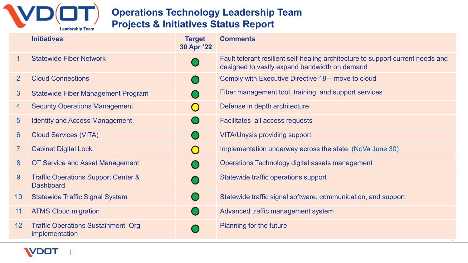

#### **Operations Technology Leadership Team Projects & Initiatives Status Report**

|                | <b>Initiatives</b>                                                 | <b>Target</b><br>30 Apr '22 | <b>Comments</b>                                                                                                                  |
|----------------|--------------------------------------------------------------------|-----------------------------|----------------------------------------------------------------------------------------------------------------------------------|
| $\mathbf 1$    | <b>Statewide Fiber Network</b>                                     |                             | Fault tolerant resilient self-healing architecture to support current needs and<br>designed to vastly expand bandwidth on demand |
| $\overline{2}$ | <b>Cloud Connections</b>                                           |                             | Comply with Executive Directive 19 – move to cloud                                                                               |
| 3              | <b>Statewide Fiber Management Program</b>                          |                             | Fiber management tool, training, and support services                                                                            |
| 4              | <b>Security Operations Management</b>                              | $\bigodot$                  | Defense in depth architecture                                                                                                    |
| 5 <sup>5</sup> | <b>Identity and Access Management</b>                              |                             | Facilitates all access requests                                                                                                  |
| 6              | <b>Cloud Services (VITA)</b>                                       |                             | <b>VITA/Unysis providing support</b>                                                                                             |
| $\overline{7}$ | <b>Cabinet Digital Lock</b>                                        | $\bigodot$                  | Implementation underway across the state. (NoVa June 30)                                                                         |
| 8              | <b>OT Service and Asset Management</b>                             |                             | Operations Technology digital assets management                                                                                  |
| 9              | <b>Traffic Operations Support Center &amp;</b><br><b>Dashboard</b> |                             | Statewide traffic operations support                                                                                             |
| 10             | <b>Statewide Traffic Signal System</b>                             |                             | Statewide traffic signal software, communication, and support                                                                    |
| 11             | <b>ATMS Cloud migration</b>                                        |                             | Advanced traffic management system                                                                                               |
| 12             | <b>Traffic Operations Sustainment Org</b><br><i>implementation</i> |                             | <b>Planning for the future</b>                                                                                                   |

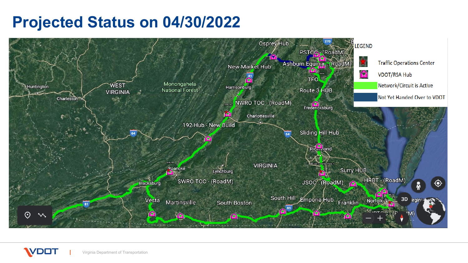### **Projected Status on 04/30/2022**



Virginia Department of Transportation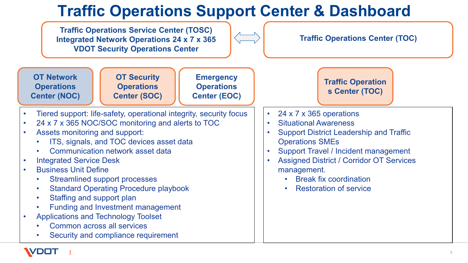# **Traffic Operations Support Center & Dashboard**

**Traffic Operations Service Center (TOSC) Integrated Network Operations 24 x 7 x 365 VDOT Security Operations Center OT Network Operations Center (NOC) OT Security Operations Center (SOC) Emergency Operations Center (EOC)** • Tiered support: life-safety, operational integrity, security focus • 24 x 7 x 365 NOC/SOC monitoring and alerts to TOC • Assets monitoring and support: ITS, signals, and TOC devices asset data • Communication network asset data • Integrated Service Desk • Business Unit Define Streamlined support processes • Standard Operating Procedure playbook Staffing and support plan • Funding and Investment management • Applications and Technology Toolset • Common across all services Security and compliance requirement • 24 x 7 x 365 operations • Situational Awareness • Support District Leadership and Traffic Operations SMEs • Support Travel / Incident management • Assigned District / Corridor OT Services management. **Break fix coordination Restoration of service Traffic Operations Center (TOC) Traffic Operation s Center (TOC)**

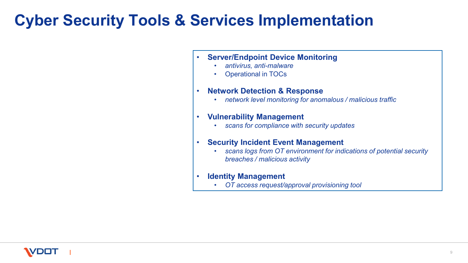### **Cyber Security Tools & Services Implementation**

- **Server/Endpoint Device Monitoring**
	- *antivirus, anti-malware*
	- Operational in TOCs

#### • **Network Detection & Response**

• *network level monitoring for anomalous / malicious traffic*

#### • **Vulnerability Management**

• *scans for compliance with security updates*

#### • **Security Incident Event Management**

• *scans logs from OT environment for indications of potential security breaches / malicious activity*

#### • **Identity Management**

• *OT access request/approval provisioning tool*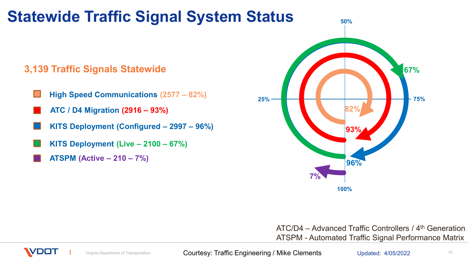# **Statewide Traffic Signal System Status**

#### **3,139 Traffic Signals Statewide**

- **High Speed Communications (2577 – 82%)**
- **ATC / D4 Migration (2916 – 93%)**
- **KITS Deployment (Configured – 2997 – 96%)**
- **KITS Deployment (Live – 2100 – 67%)**
- **ATSPM (Active – 210 – 7%)**



ATC/D4 – Advanced Traffic Controllers / 4th Generation ATSPM - Automated Traffic Signal Performance Matrix



Virginia Department of Transportation **Courtesy: Traffic Engineering / Mike Clements** Updated: 4/05/2022 10